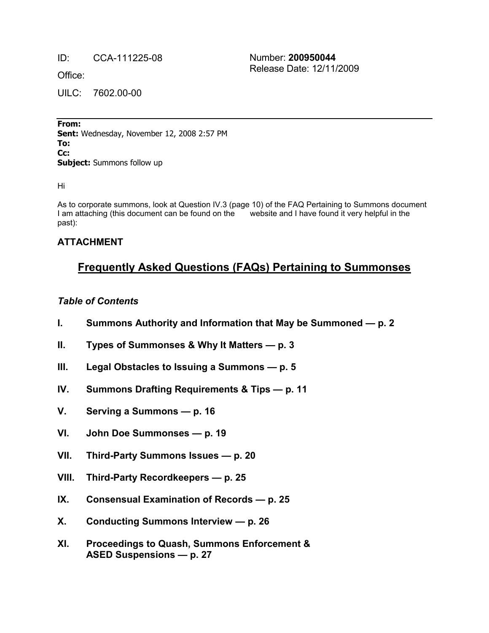ID: CCA-111225-08 Number: **200950044** Release Date: 12/11/2009

Office:

UILC: 7602.00-00

**From: Sent:** Wednesday, November 12, 2008 2:57 PM To: Cc: **Subject:** Summons follow up

Hi

As to corporate summons, look at Question IV.3 (page 10) of the FAQ Pertaining to Summons document I am attaching (this document can be found on the website and I have found it very helpful in the past):

### **ATTACHMENT**

# **Frequently Asked Questions (FAQs) Pertaining to Summonses**

### *Table of Contents*

- **I. Summons Authority and Information that May be Summoned — p. 2**
- **II. Types of Summonses & Why It Matters — p. 3**
- **III. Legal Obstacles to Issuing a Summons — p. 5**
- **IV. Summons Drafting Requirements & Tips — p. 11**
- **V. Serving a Summons — p. 16**
- **VI. John Doe Summonses — p. 19**
- **VII. Third-Party Summons Issues — p. 20**
- **VIII. Third-Party Recordkeepers — p. 25**
- **IX. Consensual Examination of Records — p. 25**
- **X. Conducting Summons Interview — p. 26**
- **XI. Proceedings to Quash, Summons Enforcement & ASED Suspensions — p. 27**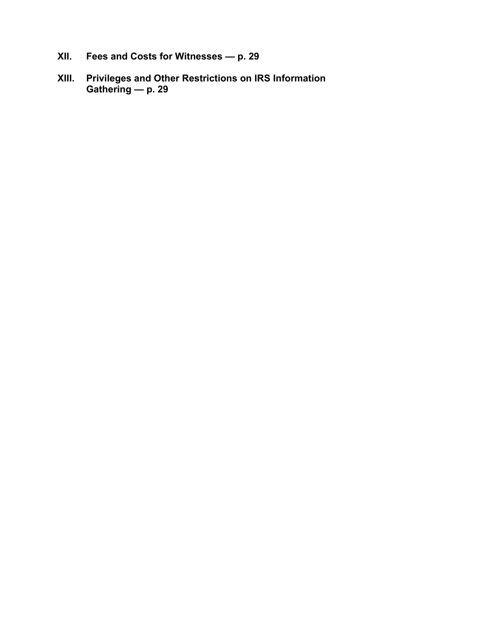- **XII. Fees and Costs for Witnesses — p. 29**
- **XIII. Privileges and Other Restrictions on IRS Information Gathering — p. 29**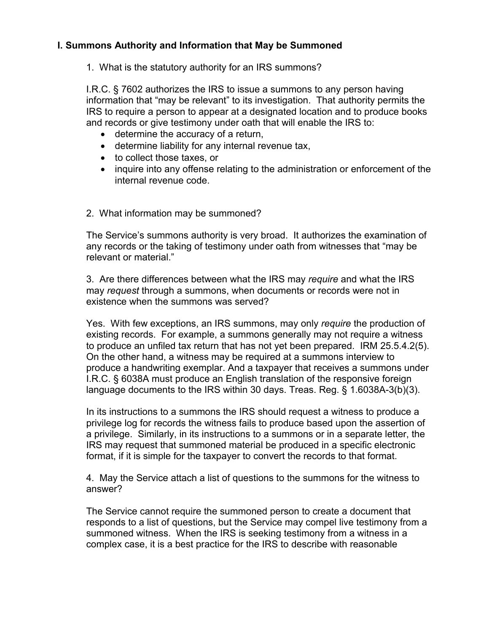# **I. Summons Authority and Information that May be Summoned**

1. What is the statutory authority for an IRS summons?

I.R.C. § 7602 authorizes the IRS to issue a summons to any person having information that "may be relevant" to its investigation. That authority permits the IRS to require a person to appear at a designated location and to produce books and records or give testimony under oath that will enable the IRS to:

- · determine the accuracy of a return,
- · determine liability for any internal revenue tax,
- · to collect those taxes, or
- · inquire into any offense relating to the administration or enforcement of the internal revenue code.
- 2. What information may be summoned?

The Service's summons authority is very broad. It authorizes the examination of any records or the taking of testimony under oath from witnesses that "may be relevant or material."

3. Are there differences between what the IRS may *require* and what the IRS may *request* through a summons, when documents or records were not in existence when the summons was served?

Yes. With few exceptions, an IRS summons, may only *require* the production of existing records. For example, a summons generally may not require a witness to produce an unfiled tax return that has not yet been prepared. IRM 25.5.4.2(5). On the other hand, a witness may be required at a summons interview to produce a handwriting exemplar. And a taxpayer that receives a summons under I.R.C. § 6038A must produce an English translation of the responsive foreign language documents to the IRS within 30 days. Treas. Reg. § 1.6038A-3(b)(3).

In its instructions to a summons the IRS should request a witness to produce a privilege log for records the witness fails to produce based upon the assertion of a privilege. Similarly, in its instructions to a summons or in a separate letter, the IRS may request that summoned material be produced in a specific electronic format, if it is simple for the taxpayer to convert the records to that format.

4. May the Service attach a list of questions to the summons for the witness to answer?

The Service cannot require the summoned person to create a document that responds to a list of questions, but the Service may compel live testimony from a summoned witness. When the IRS is seeking testimony from a witness in a complex case, it is a best practice for the IRS to describe with reasonable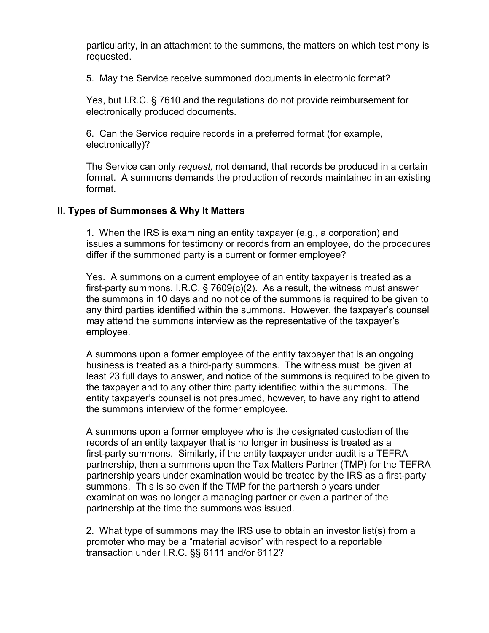particularity, in an attachment to the summons, the matters on which testimony is requested.

5. May the Service receive summoned documents in electronic format?

Yes, but I.R.C. § 7610 and the regulations do not provide reimbursement for electronically produced documents.

6. Can the Service require records in a preferred format (for example, electronically)?

The Service can only *request,* not demand, that records be produced in a certain format. A summons demands the production of records maintained in an existing format.

#### **II. Types of Summonses & Why It Matters**

1. When the IRS is examining an entity taxpayer (e.g., a corporation) and issues a summons for testimony or records from an employee, do the procedures differ if the summoned party is a current or former employee?

Yes. A summons on a current employee of an entity taxpayer is treated as a first-party summons. I.R.C. § 7609(c)(2). As a result, the witness must answer the summons in 10 days and no notice of the summons is required to be given to any third parties identified within the summons. However, the taxpayer's counsel may attend the summons interview as the representative of the taxpayer's employee.

A summons upon a former employee of the entity taxpayer that is an ongoing business is treated as a third-party summons. The witness must be given at least 23 full days to answer, and notice of the summons is required to be given to the taxpayer and to any other third party identified within the summons. The entity taxpayer's counsel is not presumed, however, to have any right to attend the summons interview of the former employee.

A summons upon a former employee who is the designated custodian of the records of an entity taxpayer that is no longer in business is treated as a first-party summons. Similarly, if the entity taxpayer under audit is a TEFRA partnership, then a summons upon the Tax Matters Partner (TMP) for the TEFRA partnership years under examination would be treated by the IRS as a first-party summons. This is so even if the TMP for the partnership years under examination was no longer a managing partner or even a partner of the partnership at the time the summons was issued.

2. What type of summons may the IRS use to obtain an investor list(s) from a promoter who may be a "material advisor" with respect to a reportable transaction under I.R.C. §§ 6111 and/or 6112?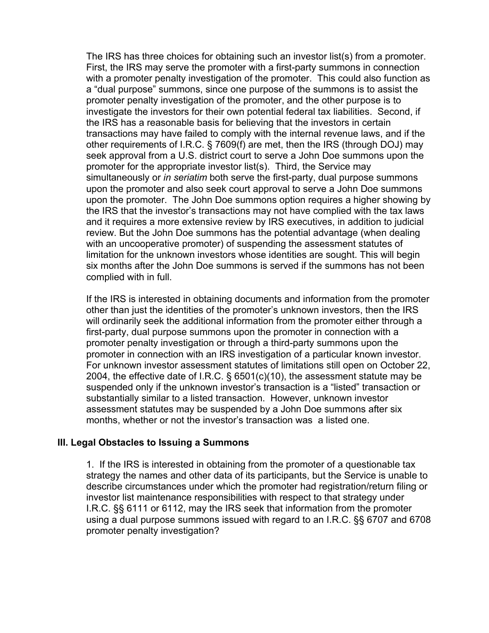The IRS has three choices for obtaining such an investor list(s) from a promoter. First, the IRS may serve the promoter with a first-party summons in connection with a promoter penalty investigation of the promoter. This could also function as a "dual purpose" summons, since one purpose of the summons is to assist the promoter penalty investigation of the promoter, and the other purpose is to investigate the investors for their own potential federal tax liabilities. Second, if the IRS has a reasonable basis for believing that the investors in certain transactions may have failed to comply with the internal revenue laws, and if the other requirements of I.R.C. § 7609(f) are met, then the IRS (through DOJ) may seek approval from a U.S. district court to serve a John Doe summons upon the promoter for the appropriate investor list(s). Third, the Service may simultaneously or *in seriatim* both serve the first-party, dual purpose summons upon the promoter and also seek court approval to serve a John Doe summons upon the promoter. The John Doe summons option requires a higher showing by the IRS that the investor's transactions may not have complied with the tax laws and it requires a more extensive review by IRS executives, in addition to judicial review. But the John Doe summons has the potential advantage (when dealing with an uncooperative promoter) of suspending the assessment statutes of limitation for the unknown investors whose identities are sought. This will begin six months after the John Doe summons is served if the summons has not been complied with in full.

If the IRS is interested in obtaining documents and information from the promoter other than just the identities of the promoter's unknown investors, then the IRS will ordinarily seek the additional information from the promoter either through a first-party, dual purpose summons upon the promoter in connection with a promoter penalty investigation or through a third-party summons upon the promoter in connection with an IRS investigation of a particular known investor. For unknown investor assessment statutes of limitations still open on October 22, 2004, the effective date of I.R.C. § 6501(c)(10), the assessment statute may be suspended only if the unknown investor's transaction is a "listed" transaction or substantially similar to a listed transaction. However, unknown investor assessment statutes may be suspended by a John Doe summons after six months, whether or not the investor's transaction was a listed one.

#### **III. Legal Obstacles to Issuing a Summons**

1. If the IRS is interested in obtaining from the promoter of a questionable tax strategy the names and other data of its participants, but the Service is unable to describe circumstances under which the promoter had registration/return filing or investor list maintenance responsibilities with respect to that strategy under I.R.C. §§ 6111 or 6112, may the IRS seek that information from the promoter using a dual purpose summons issued with regard to an I.R.C. §§ 6707 and 6708 promoter penalty investigation?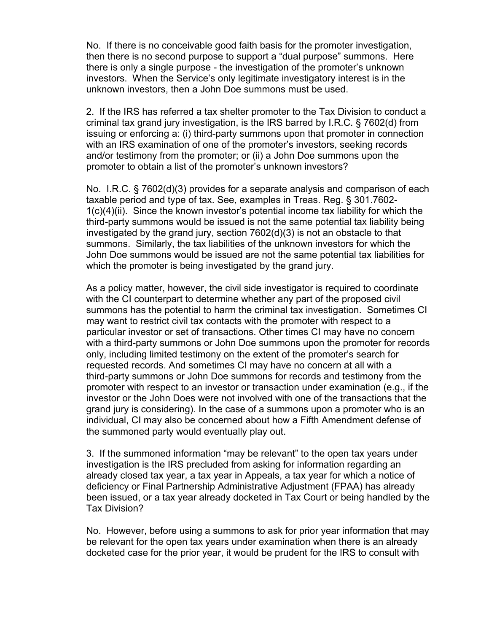No. If there is no conceivable good faith basis for the promoter investigation, then there is no second purpose to support a "dual purpose" summons. Here there is only a single purpose - the investigation of the promoter's unknown investors. When the Service's only legitimate investigatory interest is in the unknown investors, then a John Doe summons must be used.

2. If the IRS has referred a tax shelter promoter to the Tax Division to conduct a criminal tax grand jury investigation, is the IRS barred by I.R.C. § 7602(d) from issuing or enforcing a: (i) third-party summons upon that promoter in connection with an IRS examination of one of the promoter's investors, seeking records and/or testimony from the promoter; or (ii) a John Doe summons upon the promoter to obtain a list of the promoter's unknown investors?

No. I.R.C. § 7602(d)(3) provides for a separate analysis and comparison of each taxable period and type of tax. See, examples in Treas. Reg. § 301.7602- 1(c)(4)(ii). Since the known investor's potential income tax liability for which the third-party summons would be issued is not the same potential tax liability being investigated by the grand jury, section 7602(d)(3) is not an obstacle to that summons. Similarly, the tax liabilities of the unknown investors for which the John Doe summons would be issued are not the same potential tax liabilities for which the promoter is being investigated by the grand jury.

As a policy matter, however, the civil side investigator is required to coordinate with the CI counterpart to determine whether any part of the proposed civil summons has the potential to harm the criminal tax investigation. Sometimes CI may want to restrict civil tax contacts with the promoter with respect to a particular investor or set of transactions. Other times CI may have no concern with a third-party summons or John Doe summons upon the promoter for records only, including limited testimony on the extent of the promoter's search for requested records. And sometimes CI may have no concern at all with a third-party summons or John Doe summons for records and testimony from the promoter with respect to an investor or transaction under examination (e.g., if the investor or the John Does were not involved with one of the transactions that the grand jury is considering). In the case of a summons upon a promoter who is an individual, CI may also be concerned about how a Fifth Amendment defense of the summoned party would eventually play out.

3. If the summoned information "may be relevant" to the open tax years under investigation is the IRS precluded from asking for information regarding an already closed tax year, a tax year in Appeals, a tax year for which a notice of deficiency or Final Partnership Administrative Adjustment (FPAA) has already been issued, or a tax year already docketed in Tax Court or being handled by the Tax Division?

No. However, before using a summons to ask for prior year information that may be relevant for the open tax years under examination when there is an already docketed case for the prior year, it would be prudent for the IRS to consult with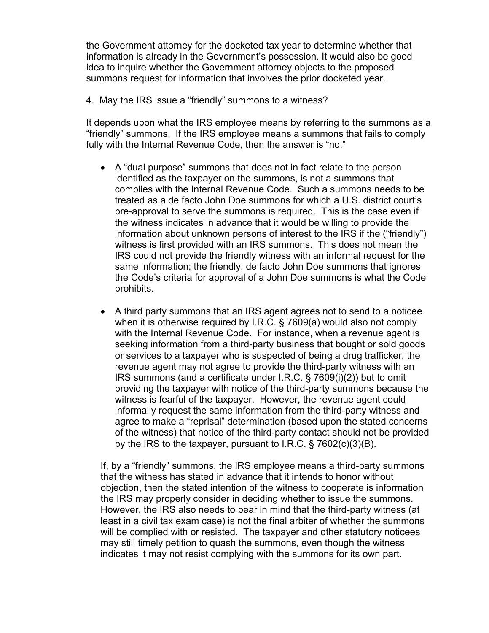the Government attorney for the docketed tax year to determine whether that information is already in the Government's possession. It would also be good idea to inquire whether the Government attorney objects to the proposed summons request for information that involves the prior docketed year.

4. May the IRS issue a "friendly" summons to a witness?

It depends upon what the IRS employee means by referring to the summons as a "friendly" summons. If the IRS employee means a summons that fails to comply fully with the Internal Revenue Code, then the answer is "no."

- · A "dual purpose" summons that does not in fact relate to the person identified as the taxpayer on the summons, is not a summons that complies with the Internal Revenue Code. Such a summons needs to be treated as a de facto John Doe summons for which a U.S. district court's pre-approval to serve the summons is required. This is the case even if the witness indicates in advance that it would be willing to provide the information about unknown persons of interest to the IRS if the ("friendly") witness is first provided with an IRS summons. This does not mean the IRS could not provide the friendly witness with an informal request for the same information; the friendly, de facto John Doe summons that ignores the Code's criteria for approval of a John Doe summons is what the Code prohibits.
- · A third party summons that an IRS agent agrees not to send to a noticee when it is otherwise required by I.R.C. § 7609(a) would also not comply with the Internal Revenue Code. For instance, when a revenue agent is seeking information from a third-party business that bought or sold goods or services to a taxpayer who is suspected of being a drug trafficker, the revenue agent may not agree to provide the third-party witness with an IRS summons (and a certificate under I.R.C. § 7609(i)(2)) but to omit providing the taxpayer with notice of the third-party summons because the witness is fearful of the taxpayer. However, the revenue agent could informally request the same information from the third-party witness and agree to make a "reprisal" determination (based upon the stated concerns of the witness) that notice of the third-party contact should not be provided by the IRS to the taxpayer, pursuant to I.R.C. § 7602(c)(3)(B).

If, by a "friendly" summons, the IRS employee means a third-party summons that the witness has stated in advance that it intends to honor without objection, then the stated intention of the witness to cooperate is information the IRS may properly consider in deciding whether to issue the summons. However, the IRS also needs to bear in mind that the third-party witness (at least in a civil tax exam case) is not the final arbiter of whether the summons will be complied with or resisted. The taxpayer and other statutory noticees may still timely petition to quash the summons, even though the witness indicates it may not resist complying with the summons for its own part.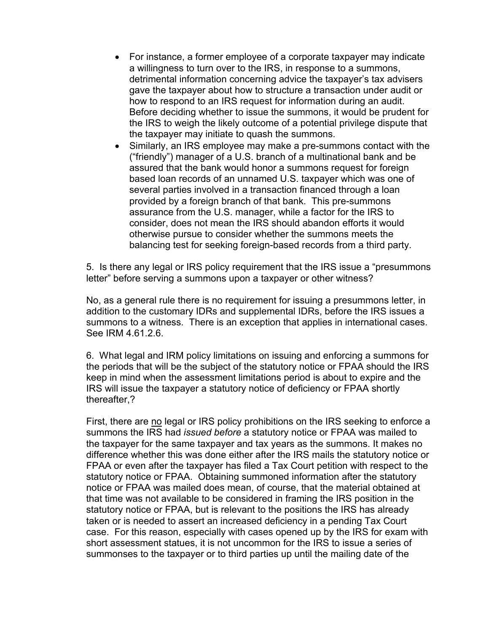- For instance, a former employee of a corporate taxpayer may indicate a willingness to turn over to the IRS, in response to a summons, detrimental information concerning advice the taxpayer's tax advisers gave the taxpayer about how to structure a transaction under audit or how to respond to an IRS request for information during an audit. Before deciding whether to issue the summons, it would be prudent for the IRS to weigh the likely outcome of a potential privilege dispute that the taxpayer may initiate to quash the summons.
- Similarly, an IRS employee may make a pre-summons contact with the ("friendly") manager of a U.S. branch of a multinational bank and be assured that the bank would honor a summons request for foreign based loan records of an unnamed U.S. taxpayer which was one of several parties involved in a transaction financed through a loan provided by a foreign branch of that bank. This pre-summons assurance from the U.S. manager, while a factor for the IRS to consider, does not mean the IRS should abandon efforts it would otherwise pursue to consider whether the summons meets the balancing test for seeking foreign-based records from a third party.

5. Is there any legal or IRS policy requirement that the IRS issue a "presummons letter" before serving a summons upon a taxpayer or other witness?

No, as a general rule there is no requirement for issuing a presummons letter, in addition to the customary IDRs and supplemental IDRs, before the IRS issues a summons to a witness. There is an exception that applies in international cases. See IRM 4.61.2.6.

6. What legal and IRM policy limitations on issuing and enforcing a summons for the periods that will be the subject of the statutory notice or FPAA should the IRS keep in mind when the assessment limitations period is about to expire and the IRS will issue the taxpayer a statutory notice of deficiency or FPAA shortly thereafter,?

First, there are no legal or IRS policy prohibitions on the IRS seeking to enforce a summons the IRS had *issued before* a statutory notice or FPAA was mailed to the taxpayer for the same taxpayer and tax years as the summons. It makes no difference whether this was done either after the IRS mails the statutory notice or FPAA or even after the taxpayer has filed a Tax Court petition with respect to the statutory notice or FPAA. Obtaining summoned information after the statutory notice or FPAA was mailed does mean, of course, that the material obtained at that time was not available to be considered in framing the IRS position in the statutory notice or FPAA, but is relevant to the positions the IRS has already taken or is needed to assert an increased deficiency in a pending Tax Court case. For this reason, especially with cases opened up by the IRS for exam with short assessment statues, it is not uncommon for the IRS to issue a series of summonses to the taxpayer or to third parties up until the mailing date of the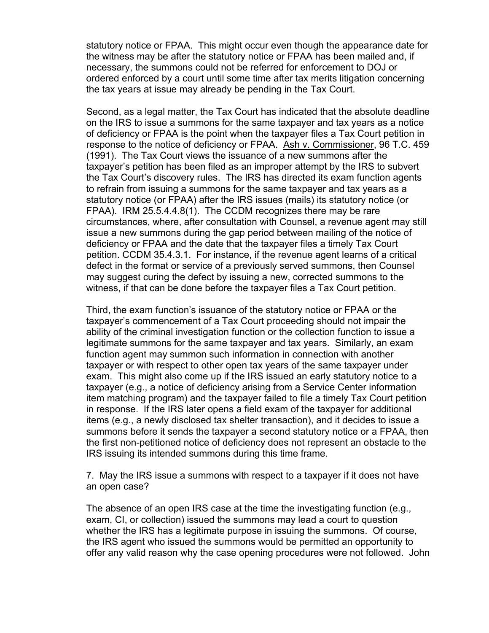statutory notice or FPAA. This might occur even though the appearance date for the witness may be after the statutory notice or FPAA has been mailed and, if necessary, the summons could not be referred for enforcement to DOJ or ordered enforced by a court until some time after tax merits litigation concerning the tax years at issue may already be pending in the Tax Court.

Second, as a legal matter, the Tax Court has indicated that the absolute deadline on the IRS to issue a summons for the same taxpayer and tax years as a notice of deficiency or FPAA is the point when the taxpayer files a Tax Court petition in response to the notice of deficiency or FPAA. Ash v. Commissioner, 96 T.C. 459 (1991). The Tax Court views the issuance of a new summons after the taxpayer's petition has been filed as an improper attempt by the IRS to subvert the Tax Court's discovery rules. The IRS has directed its exam function agents to refrain from issuing a summons for the same taxpayer and tax years as a statutory notice (or FPAA) after the IRS issues (mails) its statutory notice (or FPAA). IRM 25.5.4.4.8(1). The CCDM recognizes there may be rare circumstances, where, after consultation with Counsel, a revenue agent may still issue a new summons during the gap period between mailing of the notice of deficiency or FPAA and the date that the taxpayer files a timely Tax Court petition. CCDM 35.4.3.1. For instance, if the revenue agent learns of a critical defect in the format or service of a previously served summons, then Counsel may suggest curing the defect by issuing a new, corrected summons to the witness, if that can be done before the taxpayer files a Tax Court petition.

Third, the exam function's issuance of the statutory notice or FPAA or the taxpayer's commencement of a Tax Court proceeding should not impair the ability of the criminal investigation function or the collection function to issue a legitimate summons for the same taxpayer and tax years. Similarly, an exam function agent may summon such information in connection with another taxpayer or with respect to other open tax years of the same taxpayer under exam. This might also come up if the IRS issued an early statutory notice to a taxpayer (e.g., a notice of deficiency arising from a Service Center information item matching program) and the taxpayer failed to file a timely Tax Court petition in response. If the IRS later opens a field exam of the taxpayer for additional items (e.g., a newly disclosed tax shelter transaction), and it decides to issue a summons before it sends the taxpayer a second statutory notice or a FPAA, then the first non-petitioned notice of deficiency does not represent an obstacle to the IRS issuing its intended summons during this time frame.

7. May the IRS issue a summons with respect to a taxpayer if it does not have an open case?

The absence of an open IRS case at the time the investigating function (e.g., exam, CI, or collection) issued the summons may lead a court to question whether the IRS has a legitimate purpose in issuing the summons. Of course, the IRS agent who issued the summons would be permitted an opportunity to offer any valid reason why the case opening procedures were not followed. John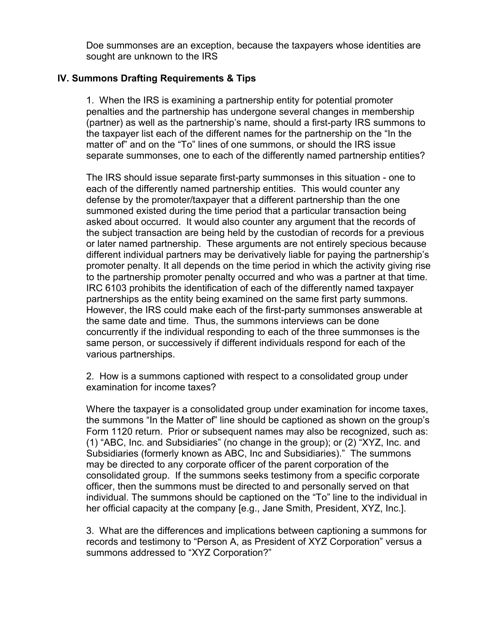Doe summonses are an exception, because the taxpayers whose identities are sought are unknown to the IRS

# **IV. Summons Drafting Requirements & Tips**

1. When the IRS is examining a partnership entity for potential promoter penalties and the partnership has undergone several changes in membership (partner) as well as the partnership's name, should a first-party IRS summons to the taxpayer list each of the different names for the partnership on the "In the matter of" and on the "To" lines of one summons, or should the IRS issue separate summonses, one to each of the differently named partnership entities?

The IRS should issue separate first-party summonses in this situation - one to each of the differently named partnership entities. This would counter any defense by the promoter/taxpayer that a different partnership than the one summoned existed during the time period that a particular transaction being asked about occurred. It would also counter any argument that the records of the subject transaction are being held by the custodian of records for a previous or later named partnership. These arguments are not entirely specious because different individual partners may be derivatively liable for paying the partnership's promoter penalty. It all depends on the time period in which the activity giving rise to the partnership promoter penalty occurred and who was a partner at that time. IRC 6103 prohibits the identification of each of the differently named taxpayer partnerships as the entity being examined on the same first party summons. However, the IRS could make each of the first-party summonses answerable at the same date and time. Thus, the summons interviews can be done concurrently if the individual responding to each of the three summonses is the same person, or successively if different individuals respond for each of the various partnerships.

2. How is a summons captioned with respect to a consolidated group under examination for income taxes?

Where the taxpayer is a consolidated group under examination for income taxes, the summons "In the Matter of" line should be captioned as shown on the group's Form 1120 return. Prior or subsequent names may also be recognized, such as: (1) "ABC, Inc. and Subsidiaries" (no change in the group); or (2) "XYZ, Inc. and Subsidiaries (formerly known as ABC, Inc and Subsidiaries)." The summons may be directed to any corporate officer of the parent corporation of the consolidated group. If the summons seeks testimony from a specific corporate officer, then the summons must be directed to and personally served on that individual. The summons should be captioned on the "To" line to the individual in her official capacity at the company [e.g., Jane Smith, President, XYZ, Inc.].

3. What are the differences and implications between captioning a summons for records and testimony to "Person A, as President of XYZ Corporation" versus a summons addressed to "XYZ Corporation?"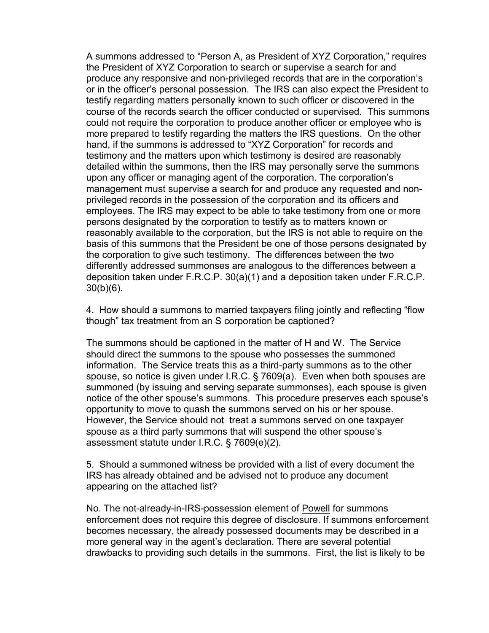A summons addressed to "Person A, as President of XYZ Corporation," requires the President of XYZ Corporation to search or supervise a search for and produce any responsive and non-privileged records that are in the corporation's or in the officer's personal possession. The IRS can also expect the President to testify regarding matters personally known to such officer or discovered in the course of the records search the officer conducted or supervised. This summons could not require the corporation to produce another officer or employee who is more prepared to testify regarding the matters the IRS questions. On the other hand, if the summons is addressed to "XYZ Corporation" for records and testimony and the matters upon which testimony is desired are reasonably detailed within the summons, then the IRS may personally serve the summons upon any officer or managing agent of the corporation. The corporation's management must supervise a search for and produce any requested and nonprivileged records in the possession of the corporation and its officers and employees. The IRS may expect to be able to take testimony from one or more persons designated by the corporation to testify as to matters known or reasonably available to the corporation, but the IRS is not able to require on the basis of this summons that the President be one of those persons designated by the corporation to give such testimony. The differences between the two differently addressed summonses are analogous to the differences between a deposition taken under F.R.C.P. 30(a)(1) and a deposition taken under F.R.C.P. 30(b)(6).

4. How should a summons to married taxpayers filing jointly and reflecting "flow though" tax treatment from an S corporation be captioned?

The summons should be captioned in the matter of H and W. The Service should direct the summons to the spouse who possesses the summoned information. The Service treats this as a third-party summons as to the other spouse, so notice is given under I.R.C. § 7609(a). Even when both spouses are summoned (by issuing and serving separate summonses), each spouse is given notice of the other spouse's summons. This procedure preserves each spouse's opportunity to move to quash the summons served on his or her spouse. However, the Service should not treat a summons served on one taxpayer spouse as a third party summons that will suspend the other spouse's assessment statute under I.R.C. § 7609(e)(2).

5. Should a summoned witness be provided with a list of every document the IRS has already obtained and be advised not to produce any document appearing on the attached list?

No. The not-already-in-IRS-possession element of Powell for summons enforcement does not require this degree of disclosure. If summons enforcement becomes necessary, the already possessed documents may be described in a more general way in the agent's declaration. There are several potential drawbacks to providing such details in the summons. First, the list is likely to be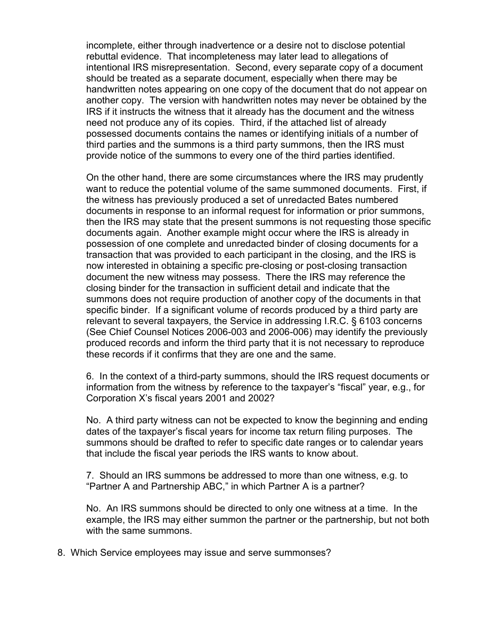incomplete, either through inadvertence or a desire not to disclose potential rebuttal evidence. That incompleteness may later lead to allegations of intentional IRS misrepresentation. Second, every separate copy of a document should be treated as a separate document, especially when there may be handwritten notes appearing on one copy of the document that do not appear on another copy. The version with handwritten notes may never be obtained by the IRS if it instructs the witness that it already has the document and the witness need not produce any of its copies. Third, if the attached list of already possessed documents contains the names or identifying initials of a number of third parties and the summons is a third party summons, then the IRS must provide notice of the summons to every one of the third parties identified.

On the other hand, there are some circumstances where the IRS may prudently want to reduce the potential volume of the same summoned documents. First, if the witness has previously produced a set of unredacted Bates numbered documents in response to an informal request for information or prior summons, then the IRS may state that the present summons is not requesting those specific documents again. Another example might occur where the IRS is already in possession of one complete and unredacted binder of closing documents for a transaction that was provided to each participant in the closing, and the IRS is now interested in obtaining a specific pre-closing or post-closing transaction document the new witness may possess. There the IRS may reference the closing binder for the transaction in sufficient detail and indicate that the summons does not require production of another copy of the documents in that specific binder. If a significant volume of records produced by a third party are relevant to several taxpayers, the Service in addressing I.R.C. § 6103 concerns (See Chief Counsel Notices 2006-003 and 2006-006) may identify the previously produced records and inform the third party that it is not necessary to reproduce these records if it confirms that they are one and the same.

6. In the context of a third-party summons, should the IRS request documents or information from the witness by reference to the taxpayer's "fiscal" year, e.g., for Corporation X's fiscal years 2001 and 2002?

No. A third party witness can not be expected to know the beginning and ending dates of the taxpayer's fiscal years for income tax return filing purposes. The summons should be drafted to refer to specific date ranges or to calendar years that include the fiscal year periods the IRS wants to know about.

7. Should an IRS summons be addressed to more than one witness, e.g. to "Partner A and Partnership ABC," in which Partner A is a partner?

No. An IRS summons should be directed to only one witness at a time. In the example, the IRS may either summon the partner or the partnership, but not both with the same summons.

8. Which Service employees may issue and serve summonses?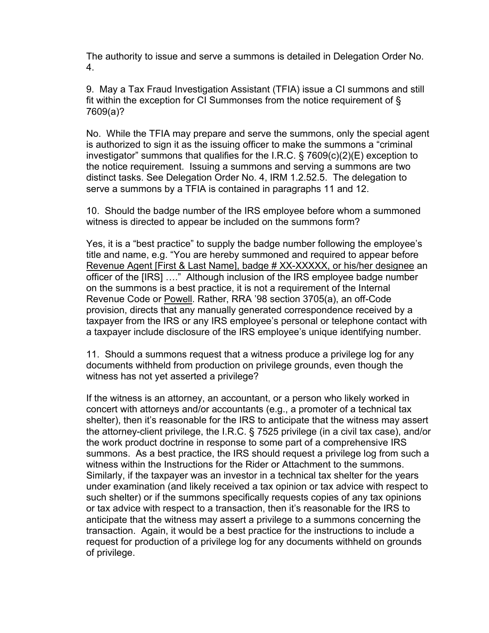The authority to issue and serve a summons is detailed in Delegation Order No. 4.

9. May a Tax Fraud Investigation Assistant (TFIA) issue a CI summons and still fit within the exception for CI Summonses from the notice requirement of § 7609(a)?

No. While the TFIA may prepare and serve the summons, only the special agent is authorized to sign it as the issuing officer to make the summons a "criminal investigator" summons that qualifies for the I.R.C. § 7609(c)(2)(E) exception to the notice requirement. Issuing a summons and serving a summons are two distinct tasks. See Delegation Order No. 4, IRM 1.2.52.5. The delegation to serve a summons by a TFIA is contained in paragraphs 11 and 12.

10. Should the badge number of the IRS employee before whom a summoned witness is directed to appear be included on the summons form?

Yes, it is a "best practice" to supply the badge number following the employee's title and name, e.g. "You are hereby summoned and required to appear before Revenue Agent [First & Last Name], badge # XX-XXXXX, or his/her designee an officer of the [IRS] …." Although inclusion of the IRS employee badge number on the summons is a best practice, it is not a requirement of the Internal Revenue Code or Powell. Rather, RRA '98 section 3705(a), an off-Code provision, directs that any manually generated correspondence received by a taxpayer from the IRS or any IRS employee's personal or telephone contact with a taxpayer include disclosure of the IRS employee's unique identifying number.

11. Should a summons request that a witness produce a privilege log for any documents withheld from production on privilege grounds, even though the witness has not yet asserted a privilege?

If the witness is an attorney, an accountant, or a person who likely worked in concert with attorneys and/or accountants (e.g., a promoter of a technical tax shelter), then it's reasonable for the IRS to anticipate that the witness may assert the attorney-client privilege, the I.R.C. § 7525 privilege (in a civil tax case), and/or the work product doctrine in response to some part of a comprehensive IRS summons. As a best practice, the IRS should request a privilege log from such a witness within the Instructions for the Rider or Attachment to the summons. Similarly, if the taxpayer was an investor in a technical tax shelter for the years under examination (and likely received a tax opinion or tax advice with respect to such shelter) or if the summons specifically requests copies of any tax opinions or tax advice with respect to a transaction, then it's reasonable for the IRS to anticipate that the witness may assert a privilege to a summons concerning the transaction. Again, it would be a best practice for the instructions to include a request for production of a privilege log for any documents withheld on grounds of privilege.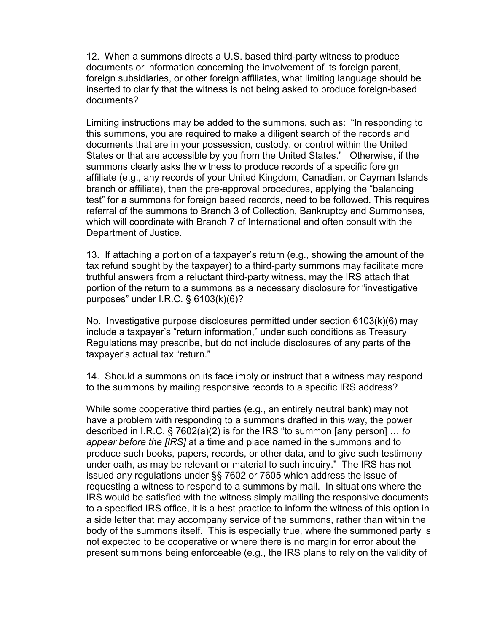12. When a summons directs a U.S. based third-party witness to produce documents or information concerning the involvement of its foreign parent, foreign subsidiaries, or other foreign affiliates, what limiting language should be inserted to clarify that the witness is not being asked to produce foreign-based documents?

Limiting instructions may be added to the summons, such as: "In responding to this summons, you are required to make a diligent search of the records and documents that are in your possession, custody, or control within the United States or that are accessible by you from the United States." Otherwise, if the summons clearly asks the witness to produce records of a specific foreign affiliate (e.g., any records of your United Kingdom, Canadian, or Cayman Islands branch or affiliate), then the pre-approval procedures, applying the "balancing test" for a summons for foreign based records, need to be followed. This requires referral of the summons to Branch 3 of Collection, Bankruptcy and Summonses, which will coordinate with Branch 7 of International and often consult with the Department of Justice.

13. If attaching a portion of a taxpayer's return (e.g., showing the amount of the tax refund sought by the taxpayer) to a third-party summons may facilitate more truthful answers from a reluctant third-party witness, may the IRS attach that portion of the return to a summons as a necessary disclosure for "investigative purposes" under I.R.C. § 6103(k)(6)?

No. Investigative purpose disclosures permitted under section 6103(k)(6) may include a taxpayer's "return information," under such conditions as Treasury Regulations may prescribe, but do not include disclosures of any parts of the taxpayer's actual tax "return."

14. Should a summons on its face imply or instruct that a witness may respond to the summons by mailing responsive records to a specific IRS address?

While some cooperative third parties (e.g., an entirely neutral bank) may not have a problem with responding to a summons drafted in this way, the power described in I.R.C. § 7602(a)(2) is for the IRS "to summon [any person] … *to appear before the [IRS]* at a time and place named in the summons and to produce such books, papers, records, or other data, and to give such testimony under oath, as may be relevant or material to such inquiry." The IRS has not issued any regulations under §§ 7602 or 7605 which address the issue of requesting a witness to respond to a summons by mail. In situations where the IRS would be satisfied with the witness simply mailing the responsive documents to a specified IRS office, it is a best practice to inform the witness of this option in a side letter that may accompany service of the summons, rather than within the body of the summons itself. This is especially true, where the summoned party is not expected to be cooperative or where there is no margin for error about the present summons being enforceable (e.g., the IRS plans to rely on the validity of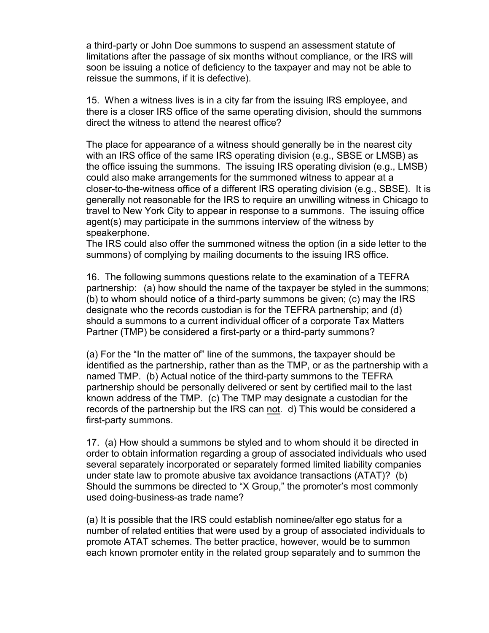a third-party or John Doe summons to suspend an assessment statute of limitations after the passage of six months without compliance, or the IRS will soon be issuing a notice of deficiency to the taxpayer and may not be able to reissue the summons, if it is defective).

15. When a witness lives is in a city far from the issuing IRS employee, and there is a closer IRS office of the same operating division, should the summons direct the witness to attend the nearest office?

The place for appearance of a witness should generally be in the nearest city with an IRS office of the same IRS operating division (e.g., SBSE or LMSB) as the office issuing the summons. The issuing IRS operating division (e.g., LMSB) could also make arrangements for the summoned witness to appear at a closer-to-the-witness office of a different IRS operating division (e.g., SBSE). It is generally not reasonable for the IRS to require an unwilling witness in Chicago to travel to New York City to appear in response to a summons. The issuing office agent(s) may participate in the summons interview of the witness by speakerphone.

The IRS could also offer the summoned witness the option (in a side letter to the summons) of complying by mailing documents to the issuing IRS office.

16. The following summons questions relate to the examination of a TEFRA partnership: (a) how should the name of the taxpayer be styled in the summons; (b) to whom should notice of a third-party summons be given; (c) may the IRS designate who the records custodian is for the TEFRA partnership; and (d) should a summons to a current individual officer of a corporate Tax Matters Partner (TMP) be considered a first-party or a third-party summons?

(a) For the "In the matter of" line of the summons, the taxpayer should be identified as the partnership, rather than as the TMP, or as the partnership with a named TMP. (b) Actual notice of the third-party summons to the TEFRA partnership should be personally delivered or sent by certified mail to the last known address of the TMP. (c) The TMP may designate a custodian for the records of the partnership but the IRS can not. d) This would be considered a first-party summons.

17. (a) How should a summons be styled and to whom should it be directed in order to obtain information regarding a group of associated individuals who used several separately incorporated or separately formed limited liability companies under state law to promote abusive tax avoidance transactions (ATAT)? (b) Should the summons be directed to "X Group," the promoter's most commonly used doing-business-as trade name?

(a) It is possible that the IRS could establish nominee/alter ego status for a number of related entities that were used by a group of associated individuals to promote ATAT schemes. The better practice, however, would be to summon each known promoter entity in the related group separately and to summon the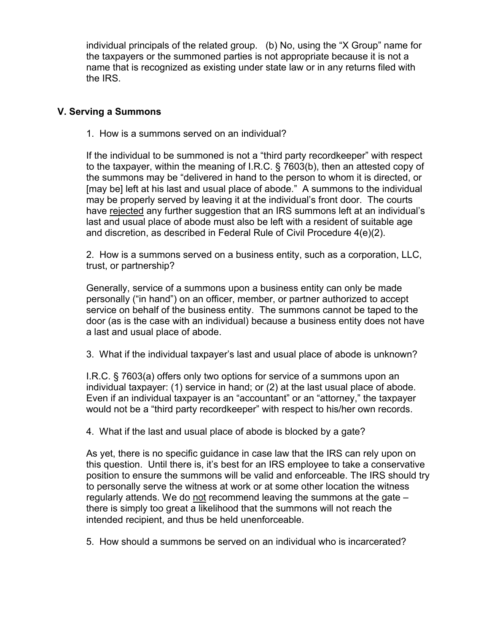individual principals of the related group. (b) No, using the "X Group" name for the taxpayers or the summoned parties is not appropriate because it is not a name that is recognized as existing under state law or in any returns filed with the IRS.

#### **V. Serving a Summons**

1. How is a summons served on an individual?

If the individual to be summoned is not a "third party recordkeeper" with respect to the taxpayer, within the meaning of I.R.C. § 7603(b), then an attested copy of the summons may be "delivered in hand to the person to whom it is directed, or [may be] left at his last and usual place of abode." A summons to the individual may be properly served by leaving it at the individual's front door. The courts have rejected any further suggestion that an IRS summons left at an individual's last and usual place of abode must also be left with a resident of suitable age and discretion, as described in Federal Rule of Civil Procedure 4(e)(2).

2. How is a summons served on a business entity, such as a corporation, LLC, trust, or partnership?

Generally, service of a summons upon a business entity can only be made personally ("in hand") on an officer, member, or partner authorized to accept service on behalf of the business entity. The summons cannot be taped to the door (as is the case with an individual) because a business entity does not have a last and usual place of abode.

3. What if the individual taxpayer's last and usual place of abode is unknown?

I.R.C. § 7603(a) offers only two options for service of a summons upon an individual taxpayer: (1) service in hand; or (2) at the last usual place of abode. Even if an individual taxpayer is an "accountant" or an "attorney," the taxpayer would not be a "third party recordkeeper" with respect to his/her own records.

4. What if the last and usual place of abode is blocked by a gate?

As yet, there is no specific guidance in case law that the IRS can rely upon on this question. Until there is, it's best for an IRS employee to take a conservative position to ensure the summons will be valid and enforceable. The IRS should try to personally serve the witness at work or at some other location the witness regularly attends. We do not recommend leaving the summons at the gate – there is simply too great a likelihood that the summons will not reach the intended recipient, and thus be held unenforceable.

5. How should a summons be served on an individual who is incarcerated?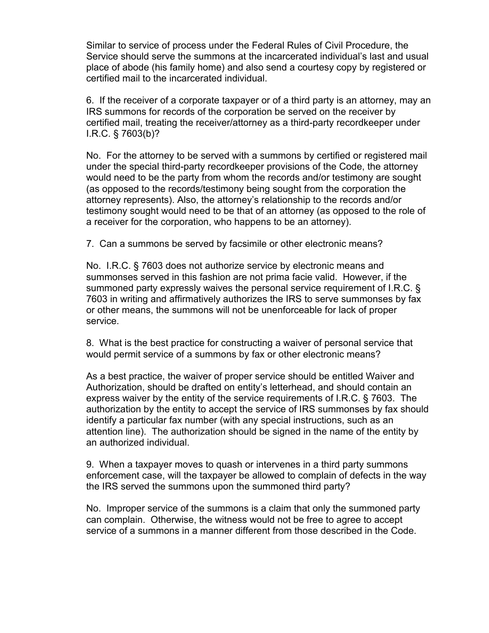Similar to service of process under the Federal Rules of Civil Procedure, the Service should serve the summons at the incarcerated individual's last and usual place of abode (his family home) and also send a courtesy copy by registered or certified mail to the incarcerated individual.

6. If the receiver of a corporate taxpayer or of a third party is an attorney, may an IRS summons for records of the corporation be served on the receiver by certified mail, treating the receiver/attorney as a third-party recordkeeper under I.R.C. § 7603(b)?

No. For the attorney to be served with a summons by certified or registered mail under the special third-party recordkeeper provisions of the Code, the attorney would need to be the party from whom the records and/or testimony are sought (as opposed to the records/testimony being sought from the corporation the attorney represents). Also, the attorney's relationship to the records and/or testimony sought would need to be that of an attorney (as opposed to the role of a receiver for the corporation, who happens to be an attorney).

7. Can a summons be served by facsimile or other electronic means?

No. I.R.C. § 7603 does not authorize service by electronic means and summonses served in this fashion are not prima facie valid. However, if the summoned party expressly waives the personal service requirement of I.R.C. § 7603 in writing and affirmatively authorizes the IRS to serve summonses by fax or other means, the summons will not be unenforceable for lack of proper service.

8. What is the best practice for constructing a waiver of personal service that would permit service of a summons by fax or other electronic means?

As a best practice, the waiver of proper service should be entitled Waiver and Authorization, should be drafted on entity's letterhead, and should contain an express waiver by the entity of the service requirements of I.R.C. § 7603. The authorization by the entity to accept the service of IRS summonses by fax should identify a particular fax number (with any special instructions, such as an attention line). The authorization should be signed in the name of the entity by an authorized individual.

9. When a taxpayer moves to quash or intervenes in a third party summons enforcement case, will the taxpayer be allowed to complain of defects in the way the IRS served the summons upon the summoned third party?

No. Improper service of the summons is a claim that only the summoned party can complain. Otherwise, the witness would not be free to agree to accept service of a summons in a manner different from those described in the Code.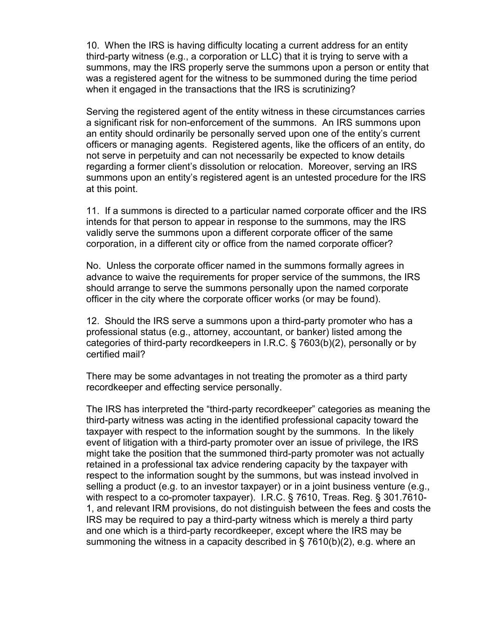10. When the IRS is having difficulty locating a current address for an entity third-party witness (e.g., a corporation or LLC) that it is trying to serve with a summons, may the IRS properly serve the summons upon a person or entity that was a registered agent for the witness to be summoned during the time period when it engaged in the transactions that the IRS is scrutinizing?

Serving the registered agent of the entity witness in these circumstances carries a significant risk for non-enforcement of the summons. An IRS summons upon an entity should ordinarily be personally served upon one of the entity's current officers or managing agents. Registered agents, like the officers of an entity, do not serve in perpetuity and can not necessarily be expected to know details regarding a former client's dissolution or relocation. Moreover, serving an IRS summons upon an entity's registered agent is an untested procedure for the IRS at this point.

11. If a summons is directed to a particular named corporate officer and the IRS intends for that person to appear in response to the summons, may the IRS validly serve the summons upon a different corporate officer of the same corporation, in a different city or office from the named corporate officer?

No. Unless the corporate officer named in the summons formally agrees in advance to waive the requirements for proper service of the summons, the IRS should arrange to serve the summons personally upon the named corporate officer in the city where the corporate officer works (or may be found).

12. Should the IRS serve a summons upon a third-party promoter who has a professional status (e.g., attorney, accountant, or banker) listed among the categories of third-party recordkeepers in I.R.C. § 7603(b)(2), personally or by certified mail?

There may be some advantages in not treating the promoter as a third party recordkeeper and effecting service personally.

The IRS has interpreted the "third-party recordkeeper" categories as meaning the third-party witness was acting in the identified professional capacity toward the taxpayer with respect to the information sought by the summons. In the likely event of litigation with a third-party promoter over an issue of privilege, the IRS might take the position that the summoned third-party promoter was not actually retained in a professional tax advice rendering capacity by the taxpayer with respect to the information sought by the summons, but was instead involved in selling a product (e.g. to an investor taxpayer) or in a joint business venture (e.g., with respect to a co-promoter taxpayer). I.R.C. § 7610, Treas. Reg. § 301.7610- 1, and relevant IRM provisions, do not distinguish between the fees and costs the IRS may be required to pay a third-party witness which is merely a third party and one which is a third-party recordkeeper, except where the IRS may be summoning the witness in a capacity described in § 7610(b)(2), e.g. where an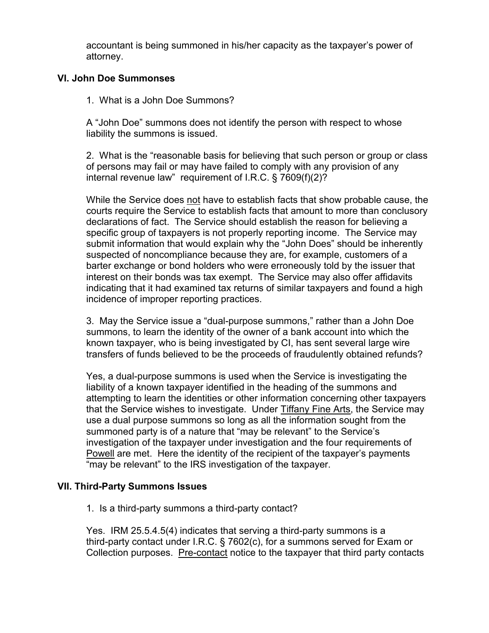accountant is being summoned in his/her capacity as the taxpayer's power of attorney.

### **VI. John Doe Summonses**

1. What is a John Doe Summons?

A "John Doe" summons does not identify the person with respect to whose liability the summons is issued.

2. What is the "reasonable basis for believing that such person or group or class of persons may fail or may have failed to comply with any provision of any internal revenue law" requirement of I.R.C. § 7609(f)(2)?

While the Service does not have to establish facts that show probable cause, the courts require the Service to establish facts that amount to more than conclusory declarations of fact. The Service should establish the reason for believing a specific group of taxpayers is not properly reporting income. The Service may submit information that would explain why the "John Does" should be inherently suspected of noncompliance because they are, for example, customers of a barter exchange or bond holders who were erroneously told by the issuer that interest on their bonds was tax exempt. The Service may also offer affidavits indicating that it had examined tax returns of similar taxpayers and found a high incidence of improper reporting practices.

3. May the Service issue a "dual-purpose summons," rather than a John Doe summons, to learn the identity of the owner of a bank account into which the known taxpayer, who is being investigated by CI, has sent several large wire transfers of funds believed to be the proceeds of fraudulently obtained refunds?

Yes, a dual-purpose summons is used when the Service is investigating the liability of a known taxpayer identified in the heading of the summons and attempting to learn the identities or other information concerning other taxpayers that the Service wishes to investigate. Under Tiffany Fine Arts, the Service may use a dual purpose summons so long as all the information sought from the summoned party is of a nature that "may be relevant" to the Service's investigation of the taxpayer under investigation and the four requirements of Powell are met. Here the identity of the recipient of the taxpayer's payments "may be relevant" to the IRS investigation of the taxpayer.

### **VII. Third-Party Summons Issues**

1. Is a third-party summons a third-party contact?

Yes. IRM 25.5.4.5(4) indicates that serving a third-party summons is a third-party contact under I.R.C. § 7602(c), for a summons served for Exam or Collection purposes. Pre-contact notice to the taxpayer that third party contacts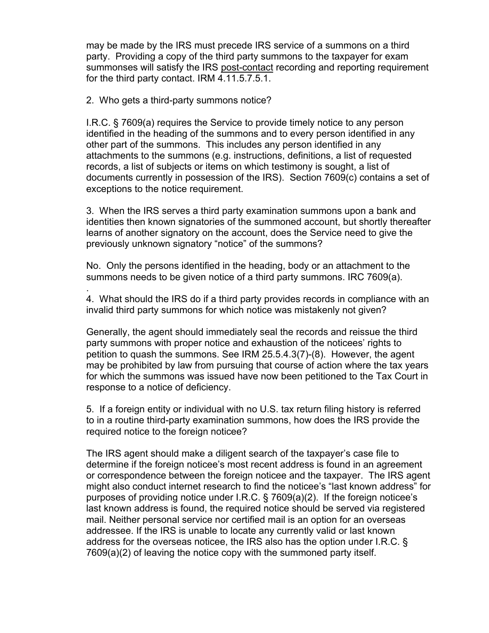may be made by the IRS must precede IRS service of a summons on a third party. Providing a copy of the third party summons to the taxpayer for exam summonses will satisfy the IRS post-contact recording and reporting requirement for the third party contact. IRM 4.11.5.7.5.1.

2. Who gets a third-party summons notice?

.

I.R.C. § 7609(a) requires the Service to provide timely notice to any person identified in the heading of the summons and to every person identified in any other part of the summons. This includes any person identified in any attachments to the summons (e.g. instructions, definitions, a list of requested records, a list of subjects or items on which testimony is sought, a list of documents currently in possession of the IRS). Section 7609(c) contains a set of exceptions to the notice requirement.

3. When the IRS serves a third party examination summons upon a bank and identities then known signatories of the summoned account, but shortly thereafter learns of another signatory on the account, does the Service need to give the previously unknown signatory "notice" of the summons?

No. Only the persons identified in the heading, body or an attachment to the summons needs to be given notice of a third party summons. IRC 7609(a).

4. What should the IRS do if a third party provides records in compliance with an invalid third party summons for which notice was mistakenly not given?

Generally, the agent should immediately seal the records and reissue the third party summons with proper notice and exhaustion of the noticees' rights to petition to quash the summons. See IRM 25.5.4.3(7)-(8). However, the agent may be prohibited by law from pursuing that course of action where the tax years for which the summons was issued have now been petitioned to the Tax Court in response to a notice of deficiency.

5. If a foreign entity or individual with no U.S. tax return filing history is referred to in a routine third-party examination summons, how does the IRS provide the required notice to the foreign noticee?

The IRS agent should make a diligent search of the taxpayer's case file to determine if the foreign noticee's most recent address is found in an agreement or correspondence between the foreign noticee and the taxpayer. The IRS agent might also conduct internet research to find the noticee's "last known address" for purposes of providing notice under I.R.C. § 7609(a)(2). If the foreign noticee's last known address is found, the required notice should be served via registered mail. Neither personal service nor certified mail is an option for an overseas addressee. If the IRS is unable to locate any currently valid or last known address for the overseas noticee, the IRS also has the option under I.R.C. § 7609(a)(2) of leaving the notice copy with the summoned party itself.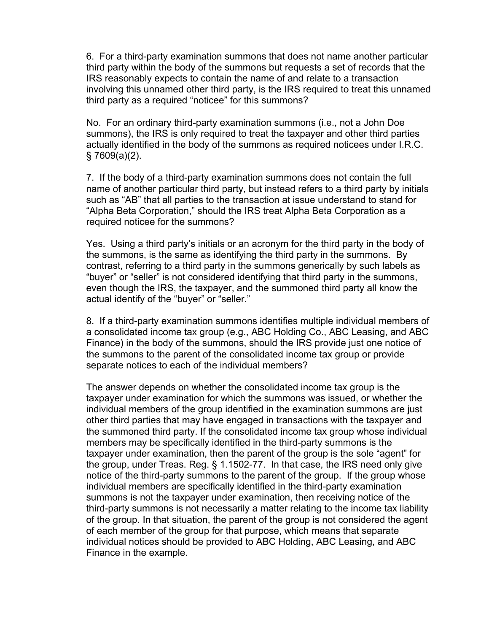6. For a third-party examination summons that does not name another particular third party within the body of the summons but requests a set of records that the IRS reasonably expects to contain the name of and relate to a transaction involving this unnamed other third party, is the IRS required to treat this unnamed third party as a required "noticee" for this summons?

No. For an ordinary third-party examination summons (i.e., not a John Doe summons), the IRS is only required to treat the taxpayer and other third parties actually identified in the body of the summons as required noticees under I.R.C. § 7609(a)(2).

7. If the body of a third-party examination summons does not contain the full name of another particular third party, but instead refers to a third party by initials such as "AB" that all parties to the transaction at issue understand to stand for "Alpha Beta Corporation," should the IRS treat Alpha Beta Corporation as a required noticee for the summons?

Yes. Using a third party's initials or an acronym for the third party in the body of the summons, is the same as identifying the third party in the summons. By contrast, referring to a third party in the summons generically by such labels as "buyer" or "seller" is not considered identifying that third party in the summons, even though the IRS, the taxpayer, and the summoned third party all know the actual identify of the "buyer" or "seller."

8. If a third-party examination summons identifies multiple individual members of a consolidated income tax group (e.g., ABC Holding Co., ABC Leasing, and ABC Finance) in the body of the summons, should the IRS provide just one notice of the summons to the parent of the consolidated income tax group or provide separate notices to each of the individual members?

The answer depends on whether the consolidated income tax group is the taxpayer under examination for which the summons was issued, or whether the individual members of the group identified in the examination summons are just other third parties that may have engaged in transactions with the taxpayer and the summoned third party. If the consolidated income tax group whose individual members may be specifically identified in the third-party summons is the taxpayer under examination, then the parent of the group is the sole "agent" for the group, under Treas. Reg. § 1.1502-77. In that case, the IRS need only give notice of the third-party summons to the parent of the group. If the group whose individual members are specifically identified in the third-party examination summons is not the taxpayer under examination, then receiving notice of the third-party summons is not necessarily a matter relating to the income tax liability of the group. In that situation, the parent of the group is not considered the agent of each member of the group for that purpose, which means that separate individual notices should be provided to ABC Holding, ABC Leasing, and ABC Finance in the example.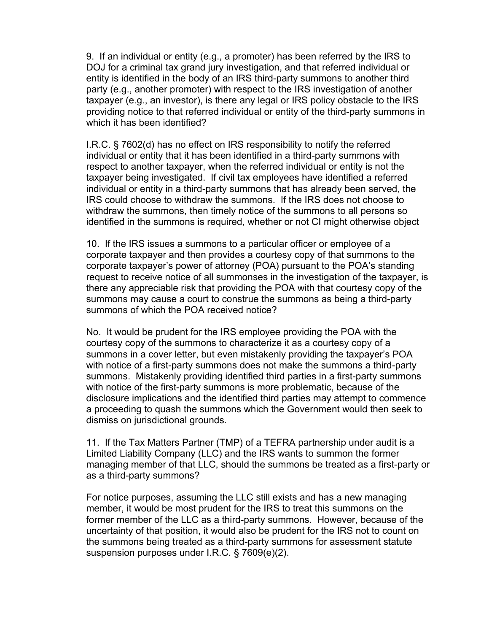9. If an individual or entity (e.g., a promoter) has been referred by the IRS to DOJ for a criminal tax grand jury investigation, and that referred individual or entity is identified in the body of an IRS third-party summons to another third party (e.g., another promoter) with respect to the IRS investigation of another taxpayer (e.g., an investor), is there any legal or IRS policy obstacle to the IRS providing notice to that referred individual or entity of the third-party summons in which it has been identified?

I.R.C. § 7602(d) has no effect on IRS responsibility to notify the referred individual or entity that it has been identified in a third-party summons with respect to another taxpayer, when the referred individual or entity is not the taxpayer being investigated. If civil tax employees have identified a referred individual or entity in a third-party summons that has already been served, the IRS could choose to withdraw the summons. If the IRS does not choose to withdraw the summons, then timely notice of the summons to all persons so identified in the summons is required, whether or not CI might otherwise object

10. If the IRS issues a summons to a particular officer or employee of a corporate taxpayer and then provides a courtesy copy of that summons to the corporate taxpayer's power of attorney (POA) pursuant to the POA's standing request to receive notice of all summonses in the investigation of the taxpayer, is there any appreciable risk that providing the POA with that courtesy copy of the summons may cause a court to construe the summons as being a third-party summons of which the POA received notice?

No. It would be prudent for the IRS employee providing the POA with the courtesy copy of the summons to characterize it as a courtesy copy of a summons in a cover letter, but even mistakenly providing the taxpayer's POA with notice of a first-party summons does not make the summons a third-party summons. Mistakenly providing identified third parties in a first-party summons with notice of the first-party summons is more problematic, because of the disclosure implications and the identified third parties may attempt to commence a proceeding to quash the summons which the Government would then seek to dismiss on jurisdictional grounds.

11. If the Tax Matters Partner (TMP) of a TEFRA partnership under audit is a Limited Liability Company (LLC) and the IRS wants to summon the former managing member of that LLC, should the summons be treated as a first-party or as a third-party summons?

For notice purposes, assuming the LLC still exists and has a new managing member, it would be most prudent for the IRS to treat this summons on the former member of the LLC as a third-party summons. However, because of the uncertainty of that position, it would also be prudent for the IRS not to count on the summons being treated as a third-party summons for assessment statute suspension purposes under I.R.C. § 7609(e)(2).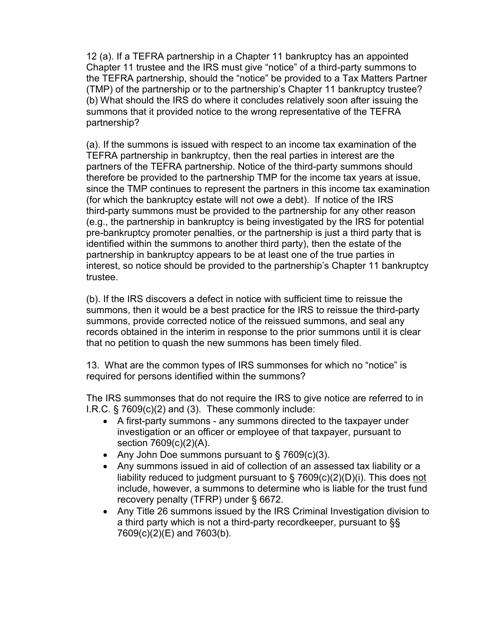12 (a). If a TEFRA partnership in a Chapter 11 bankruptcy has an appointed Chapter 11 trustee and the IRS must give "notice" of a third-party summons to the TEFRA partnership, should the "notice" be provided to a Tax Matters Partner (TMP) of the partnership or to the partnership's Chapter 11 bankruptcy trustee? (b) What should the IRS do where it concludes relatively soon after issuing the summons that it provided notice to the wrong representative of the TEFRA partnership?

(a). If the summons is issued with respect to an income tax examination of the TEFRA partnership in bankruptcy, then the real parties in interest are the partners of the TEFRA partnership. Notice of the third-party summons should therefore be provided to the partnership TMP for the income tax years at issue, since the TMP continues to represent the partners in this income tax examination (for which the bankruptcy estate will not owe a debt). If notice of the IRS third-party summons must be provided to the partnership for any other reason (e.g., the partnership in bankruptcy is being investigated by the IRS for potential pre-bankruptcy promoter penalties, or the partnership is just a third party that is identified within the summons to another third party), then the estate of the partnership in bankruptcy appears to be at least one of the true parties in interest, so notice should be provided to the partnership's Chapter 11 bankruptcy trustee.

(b). If the IRS discovers a defect in notice with sufficient time to reissue the summons, then it would be a best practice for the IRS to reissue the third-party summons, provide corrected notice of the reissued summons, and seal any records obtained in the interim in response to the prior summons until it is clear that no petition to quash the new summons has been timely filed.

13. What are the common types of IRS summonses for which no "notice" is required for persons identified within the summons?

The IRS summonses that do not require the IRS to give notice are referred to in I.R.C. § 7609(c)(2) and (3). These commonly include:

- · A first-party summons any summons directed to the taxpayer under investigation or an officer or employee of that taxpayer, pursuant to section 7609(c)(2)(A).
- Any John Doe summons pursuant to  $\S$  7609(c)(3).
- · Any summons issued in aid of collection of an assessed tax liability or a liability reduced to judgment pursuant to  $\S$  7609(c)(2)(D)(i). This does not include, however, a summons to determine who is liable for the trust fund recovery penalty (TFRP) under § 6672.
- · Any Title 26 summons issued by the IRS Criminal Investigation division to a third party which is not a third-party recordkeeper, pursuant to §§ 7609(c)(2)(E) and 7603(b).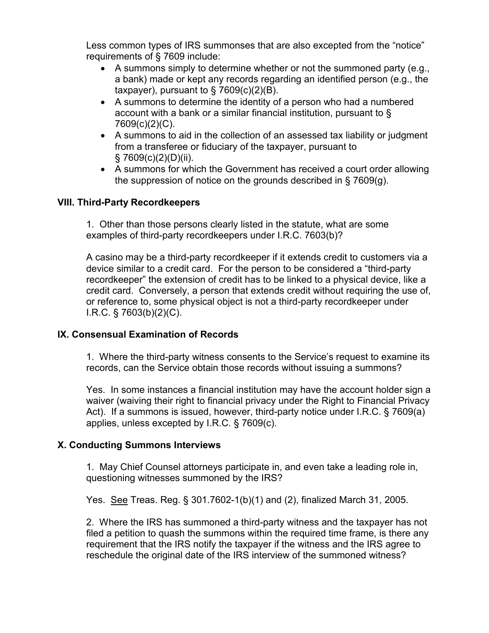Less common types of IRS summonses that are also excepted from the "notice" requirements of § 7609 include:

- · A summons simply to determine whether or not the summoned party (e.g., a bank) made or kept any records regarding an identified person (e.g., the taxpayer), pursuant to  $\S$  7609(c)(2)(B).
- · A summons to determine the identity of a person who had a numbered account with a bank or a similar financial institution, pursuant to § 7609(c)(2)(C).
- · A summons to aid in the collection of an assessed tax liability or judgment from a transferee or fiduciary of the taxpayer, pursuant to  $§ 7609(c)(2)(D)(ii).$
- · A summons for which the Government has received a court order allowing the suppression of notice on the grounds described in § 7609(g).

# **VIII. Third-Party Recordkeepers**

1. Other than those persons clearly listed in the statute, what are some examples of third-party recordkeepers under I.R.C. 7603(b)?

A casino may be a third-party recordkeeper if it extends credit to customers via a device similar to a credit card. For the person to be considered a "third-party recordkeeper" the extension of credit has to be linked to a physical device, like a credit card. Conversely, a person that extends credit without requiring the use of, or reference to, some physical object is not a third-party recordkeeper under I.R.C. § 7603(b)(2)(C).

### **IX. Consensual Examination of Records**

1. Where the third-party witness consents to the Service's request to examine its records, can the Service obtain those records without issuing a summons?

Yes. In some instances a financial institution may have the account holder sign a waiver (waiving their right to financial privacy under the Right to Financial Privacy Act). If a summons is issued, however, third-party notice under I.R.C. § 7609(a) applies, unless excepted by I.R.C. § 7609(c).

### **X. Conducting Summons Interviews**

1. May Chief Counsel attorneys participate in, and even take a leading role in, questioning witnesses summoned by the IRS?

Yes. See Treas. Reg. § 301.7602-1(b)(1) and (2), finalized March 31, 2005.

2. Where the IRS has summoned a third-party witness and the taxpayer has not filed a petition to quash the summons within the required time frame, is there any requirement that the IRS notify the taxpayer if the witness and the IRS agree to reschedule the original date of the IRS interview of the summoned witness?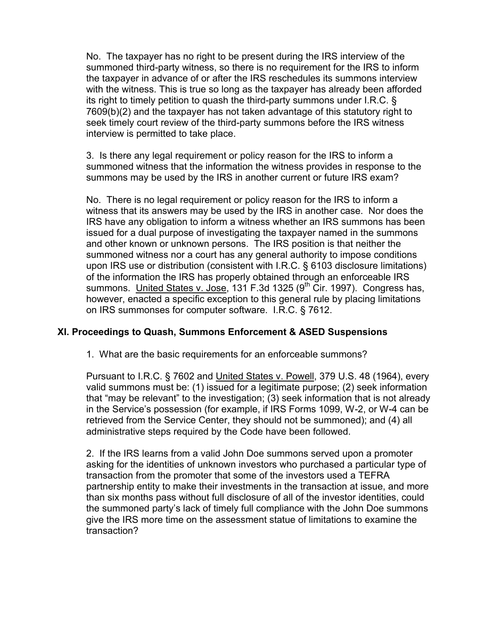No. The taxpayer has no right to be present during the IRS interview of the summoned third-party witness, so there is no requirement for the IRS to inform the taxpayer in advance of or after the IRS reschedules its summons interview with the witness. This is true so long as the taxpayer has already been afforded its right to timely petition to quash the third-party summons under I.R.C. § 7609(b)(2) and the taxpayer has not taken advantage of this statutory right to seek timely court review of the third-party summons before the IRS witness interview is permitted to take place.

3. Is there any legal requirement or policy reason for the IRS to inform a summoned witness that the information the witness provides in response to the summons may be used by the IRS in another current or future IRS exam?

No. There is no legal requirement or policy reason for the IRS to inform a witness that its answers may be used by the IRS in another case. Nor does the IRS have any obligation to inform a witness whether an IRS summons has been issued for a dual purpose of investigating the taxpayer named in the summons and other known or unknown persons. The IRS position is that neither the summoned witness nor a court has any general authority to impose conditions upon IRS use or distribution (consistent with I.R.C. § 6103 disclosure limitations) of the information the IRS has properly obtained through an enforceable IRS summons. United States v. Jose, 131 F.3d 1325 ( $9<sup>th</sup>$  Cir. 1997). Congress has, however, enacted a specific exception to this general rule by placing limitations on IRS summonses for computer software. I.R.C. § 7612.

### **XI. Proceedings to Quash, Summons Enforcement & ASED Suspensions**

1. What are the basic requirements for an enforceable summons?

Pursuant to I.R.C. § 7602 and United States v. Powell, 379 U.S. 48 (1964), every valid summons must be: (1) issued for a legitimate purpose; (2) seek information that "may be relevant" to the investigation; (3) seek information that is not already in the Service's possession (for example, if IRS Forms 1099, W-2, or W-4 can be retrieved from the Service Center, they should not be summoned); and (4) all administrative steps required by the Code have been followed.

2. If the IRS learns from a valid John Doe summons served upon a promoter asking for the identities of unknown investors who purchased a particular type of transaction from the promoter that some of the investors used a TEFRA partnership entity to make their investments in the transaction at issue, and more than six months pass without full disclosure of all of the investor identities, could the summoned party's lack of timely full compliance with the John Doe summons give the IRS more time on the assessment statue of limitations to examine the transaction?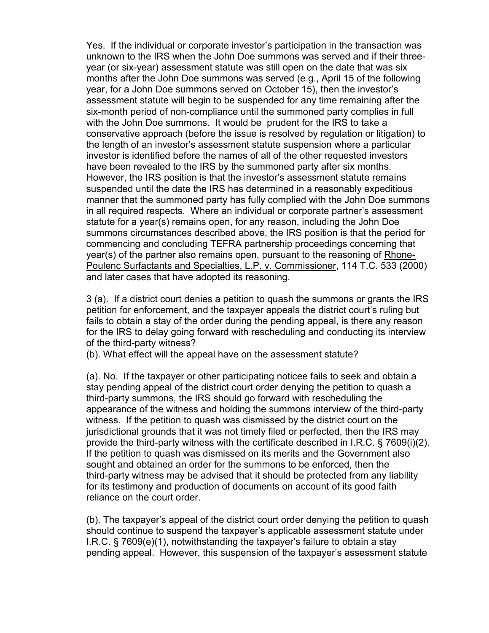Yes. If the individual or corporate investor's participation in the transaction was unknown to the IRS when the John Doe summons was served and if their threeyear (or six-year) assessment statute was still open on the date that was six months after the John Doe summons was served (e.g., April 15 of the following year, for a John Doe summons served on October 15), then the investor's assessment statute will begin to be suspended for any time remaining after the six-month period of non-compliance until the summoned party complies in full with the John Doe summons. It would be prudent for the IRS to take a conservative approach (before the issue is resolved by regulation or litigation) to the length of an investor's assessment statute suspension where a particular investor is identified before the names of all of the other requested investors have been revealed to the IRS by the summoned party after six months. However, the IRS position is that the investor's assessment statute remains suspended until the date the IRS has determined in a reasonably expeditious manner that the summoned party has fully complied with the John Doe summons in all required respects. Where an individual or corporate partner's assessment statute for a year(s) remains open, for any reason, including the John Doe summons circumstances described above, the IRS position is that the period for commencing and concluding TEFRA partnership proceedings concerning that year(s) of the partner also remains open, pursuant to the reasoning of Rhone-Poulenc Surfactants and Specialties, L.P. v. Commissioner, 114 T.C. 533 (2000) and later cases that have adopted its reasoning.

3 (a). If a district court denies a petition to quash the summons or grants the IRS petition for enforcement, and the taxpayer appeals the district court's ruling but fails to obtain a stay of the order during the pending appeal, is there any reason for the IRS to delay going forward with rescheduling and conducting its interview of the third-party witness?

(b). What effect will the appeal have on the assessment statute?

(a). No. If the taxpayer or other participating noticee fails to seek and obtain a stay pending appeal of the district court order denying the petition to quash a third-party summons, the IRS should go forward with rescheduling the appearance of the witness and holding the summons interview of the third-party witness. If the petition to quash was dismissed by the district court on the jurisdictional grounds that it was not timely filed or perfected, then the IRS may provide the third-party witness with the certificate described in I.R.C. § 7609(i)(2). If the petition to quash was dismissed on its merits and the Government also sought and obtained an order for the summons to be enforced, then the third-party witness may be advised that it should be protected from any liability for its testimony and production of documents on account of its good faith reliance on the court order.

(b). The taxpayer's appeal of the district court order denying the petition to quash should continue to suspend the taxpayer's applicable assessment statute under I.R.C. § 7609(e)(1), notwithstanding the taxpayer's failure to obtain a stay pending appeal. However, this suspension of the taxpayer's assessment statute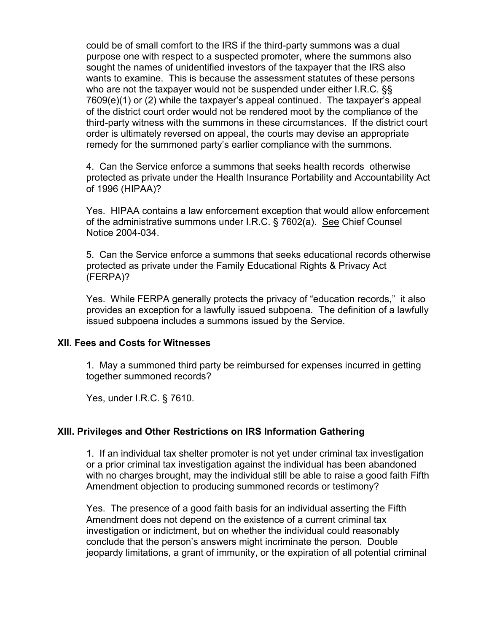could be of small comfort to the IRS if the third-party summons was a dual purpose one with respect to a suspected promoter, where the summons also sought the names of unidentified investors of the taxpayer that the IRS also wants to examine. This is because the assessment statutes of these persons who are not the taxpayer would not be suspended under either I.R.C. §§ 7609(e)(1) or (2) while the taxpayer's appeal continued. The taxpayer's appeal of the district court order would not be rendered moot by the compliance of the third-party witness with the summons in these circumstances. If the district court order is ultimately reversed on appeal, the courts may devise an appropriate remedy for the summoned party's earlier compliance with the summons.

4. Can the Service enforce a summons that seeks health records otherwise protected as private under the Health Insurance Portability and Accountability Act of 1996 (HIPAA)?

Yes. HIPAA contains a law enforcement exception that would allow enforcement of the administrative summons under I.R.C. § 7602(a). See Chief Counsel Notice 2004-034.

5. Can the Service enforce a summons that seeks educational records otherwise protected as private under the Family Educational Rights & Privacy Act (FERPA)?

Yes. While FERPA generally protects the privacy of "education records," it also provides an exception for a lawfully issued subpoena. The definition of a lawfully issued subpoena includes a summons issued by the Service.

### **XII. Fees and Costs for Witnesses**

1. May a summoned third party be reimbursed for expenses incurred in getting together summoned records?

Yes, under I.R.C. § 7610.

### **XIII. Privileges and Other Restrictions on IRS Information Gathering**

1. If an individual tax shelter promoter is not yet under criminal tax investigation or a prior criminal tax investigation against the individual has been abandoned with no charges brought, may the individual still be able to raise a good faith Fifth Amendment objection to producing summoned records or testimony?

Yes. The presence of a good faith basis for an individual asserting the Fifth Amendment does not depend on the existence of a current criminal tax investigation or indictment, but on whether the individual could reasonably conclude that the person's answers might incriminate the person. Double jeopardy limitations, a grant of immunity, or the expiration of all potential criminal